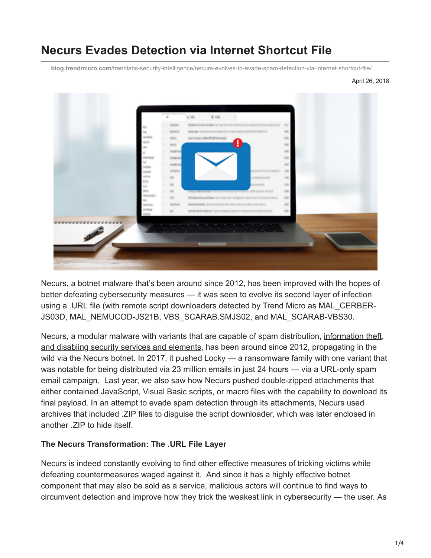# **Necurs Evades Detection via Internet Shortcut File**

**blog.trendmicro.com**[/trendlabs-security-intelligence/necurs-evolves-to-evade-spam-detection-via-internet-shortcut-file/](https://blog.trendmicro.com/trendlabs-security-intelligence/necurs-evolves-to-evade-spam-detection-via-internet-shortcut-file/)

April 26, 2018



Necurs, a botnet malware that's been around since 2012, has been improved with the hopes of better defeating cybersecurity measures — it was seen to evolve its second layer of infection using a .URL file (with remote script downloaders detected by Trend Micro as MAL\_CERBER-JS03D, MAL\_NEMUCOD-JS21B, VBS\_SCARAB.SMJS02, and MAL\_SCARAB-VBS30.

[Necurs, a modular malware with variants that are capable of spam distribution, information theft,](https://www.trendmicro.com/vinfo/tmr/?/us/threat-encyclopedia/web-attack/3133/necurs-the-malware-that-breaks-your-security) and disabling security services and elements, has been around since 2012, propagating in the wild via the Necurs botnet. In 2017, it pushed Locky — a ransomware family with one variant that [was notable for being distributed via](https://blog.trendmicro.com/trendlabs-security-intelligence/look-locky-ransomwares-recent-spam-activities/) [23 million emails in just 24 hours](https://www.trendmicro.com/vinfo/ph/security/news/cybercrime-and-digital-threats/new-locky-variant-lukitus-distributed-in-23-million-emails) [— via a URL-only spam](https://blog.trendmicro.com/trendlabs-security-intelligence/look-locky-ransomwares-recent-spam-activities/) email campaign. Last year, we also saw how Necurs pushed double-zipped attachments that either contained JavaScript, Visual Basic scripts, or macro files with the capability to download its final payload. In an attempt to evade spam detection through its attachments, Necurs used archives that included .ZIP files to disguise the script downloader, which was later enclosed in another .ZIP to hide itself.

#### **The Necurs Transformation: The .URL File Layer**

Necurs is indeed constantly evolving to find other effective measures of tricking victims while defeating countermeasures waged against it. And since it has a highly effective botnet component that may also be sold as a service, malicious actors will continue to find ways to circumvent detection and improve how they trick the weakest link in cybersecurity — the user. As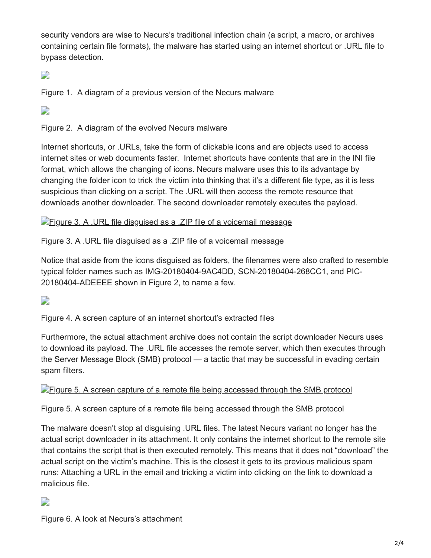security vendors are wise to Necurs's traditional infection chain (a script, a macro, or archives containing certain file formats), the malware has started using an internet shortcut or .URL file to bypass detection.

# D

Figure 1. A diagram of a previous version of the Necurs malware

 $\overline{\phantom{a}}$ 

Figure 2. A diagram of the evolved Necurs malware

Internet shortcuts, or .URLs, take the form of clickable icons and are objects used to access internet sites or web documents faster. Internet shortcuts have contents that are in the INI file format, which allows the changing of icons. Necurs malware uses this to its advantage by changing the folder icon to trick the victim into thinking that it's a different file type, as it is less suspicious than clicking on a script. The .URL will then access the remote resource that downloads another downloader. The second downloader remotely executes the payload.

**[Figure 3. A .URL file disguised as a .ZIP file of a voicemail message](https://blog.trendmicro.com/content/dam/trendmicro/global/en/migrated/security-intelligence-migration-spreadsheet/trendlabs-security-intelligence/2018/04/Figure_3_URL_file.jpg)** 

Figure 3. A .URL file disguised as a .ZIP file of a voicemail message

Notice that aside from the icons disguised as folders, the filenames were also crafted to resemble typical folder names such as IMG-20180404-9AC4DD, SCN-20180404-268CC1, and PIC-20180404-ADEEEE shown in Figure 2, to name a few.

# D

Figure 4. A screen capture of an internet shortcut's extracted files

Furthermore, the actual attachment archive does not contain the script downloader Necurs uses to download its payload. The .URL file accesses the remote server, which then executes through the Server Message Block (SMB) protocol — a tactic that may be successful in evading certain spam filters.

#### **Figure 5.** A screen capture of a remote file being accessed through the SMB protocol

Figure 5. A screen capture of a remote file being accessed through the SMB protocol

The malware doesn't stop at disguising .URL files. The latest Necurs variant no longer has the actual script downloader in its attachment. It only contains the internet shortcut to the remote site that contains the script that is then executed remotely. This means that it does not "download" the actual script on the victim's machine. This is the closest it gets to its previous malicious spam runs: Attaching a URL in the email and tricking a victim into clicking on the link to download a malicious file.

## D

Figure 6. A look at Necurs's attachment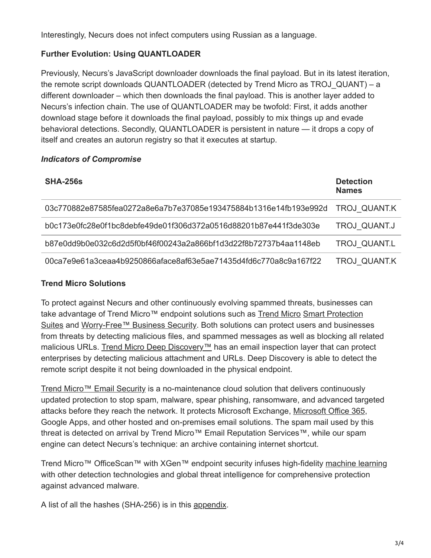Interestingly, Necurs does not infect computers using Russian as a language.

# **Further Evolution: Using QUANTLOADER**

Previously, Necurs's JavaScript downloader downloads the final payload. But in its latest iteration, the remote script downloads QUANTLOADER (detected by Trend Micro as TROJ\_QUANT) – a different downloader – which then downloads the final payload. This is another layer added to Necurs's infection chain. The use of QUANTLOADER may be twofold: First, it adds another download stage before it downloads the final payload, possibly to mix things up and evade behavioral detections. Secondly, QUANTLOADER is persistent in nature — it drops a copy of itself and creates an autorun registry so that it executes at startup.

### *Indicators of Compromise*

| <b>SHA-256s</b>                                                  | <b>Detection</b><br><b>Names</b> |
|------------------------------------------------------------------|----------------------------------|
| 03c770882e87585fea0272a8e6a7b7e37085e193475884b1316e14fb193e992d | <b>TROJ QUANT.K</b>              |
| b0c173e0fc28e0f1bc8debfe49de01f306d372a0516d88201b87e441f3de303e | TROJ QUANT.J                     |
| b87e0dd9b0e032c6d2d5f0bf46f00243a2a866bf1d3d22f8b72737b4aa1148eb | TROJ QUANT.L                     |
| 00ca7e9e61a3ceaa4b9250866aface8af63e5ae71435d4fd6c770a8c9a167f22 | TROJ QUANT.K                     |

### **Trend Micro Solutions**

To protect against Necurs and other continuously evolving spammed threats, businesses can take advantage of [Trend Micro](https://blog.trendmicro.com/en_us/business/products/user-protection/sps.html)™ endpoint solutions such as Trend Micro Smart Protection [Suites and Worry-Free™ Business Security. Both solutions can protect users and business](https://blog.trendmicro.com/en_us/business/products/user-protection/sps.html)es from threats by detecting malicious files, and spammed messages as well as blocking all related malicious URLs. [Trend Micro Deep Discovery™](https://blog.trendmicro.com/en_us/business/products/network/advanced-threat-protection/deep-discovery-threat-intelligence-network-analytics.html) has an email inspection layer that can protect enterprises by detecting malicious attachment and URLs. Deep Discovery is able to detect the remote script despite it not being downloaded in the physical endpoint.

[Trend Micro™ Email Security](https://blog.trendmicro.com/en_us/business/products/user-protection/sps/email-and-collaboration/email-security.html) is a no-maintenance cloud solution that delivers continuously updated protection to stop spam, malware, spear phishing, ransomware, and advanced targeted attacks before they reach the network. It protects Microsoft Exchange, [Microsoft Office 365](https://blog.trendmicro.com/en_us/business/products/user-protection/sps/email-and-collaboration/cloud-app-security.html), Google Apps, and other hosted and on-premises email solutions. The spam mail used by this threat is detected on arrival by Trend Micro™ Email Reputation Services™, while our spam engine can detect Necurs's technique: an archive containing internet shortcut.

Trend Micro™ OfficeScan™ with XGen™ endpoint security infuses high-fidelity [machine learning](https://www.trendmicro.com/vinfo/ph/security/definition/machine-learning) with other detection technologies and global threat intelligence for comprehensive protection against advanced malware.

A list of all the hashes (SHA-256) is in this [appendix.](https://documents.trendmicro.com/assets/appendix-necurs-evolves-to-evade-spam-detection-via-internet-shortcut-file.pdf)